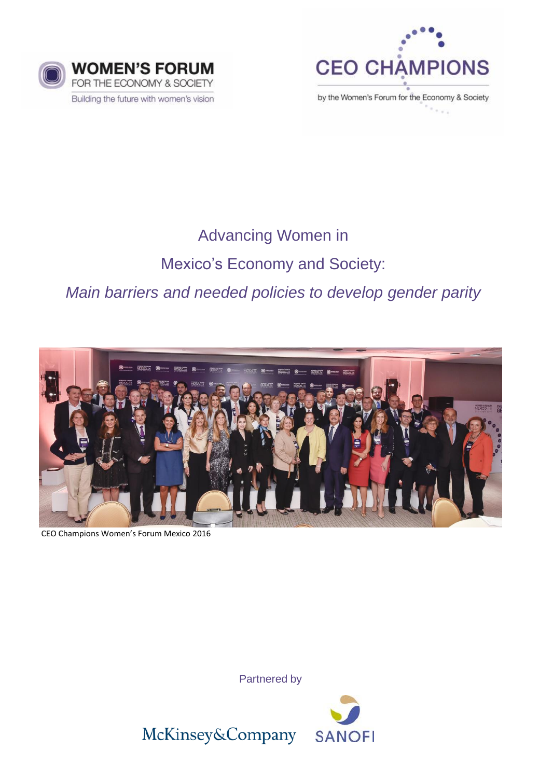



by the Women's Forum for the Economy & Society

# Advancing Women in

# Mexico's Economy and Society:

*Main barriers and needed policies to develop gender parity* 



CEO Champions Women's Forum Mexico 2016

Partnered by



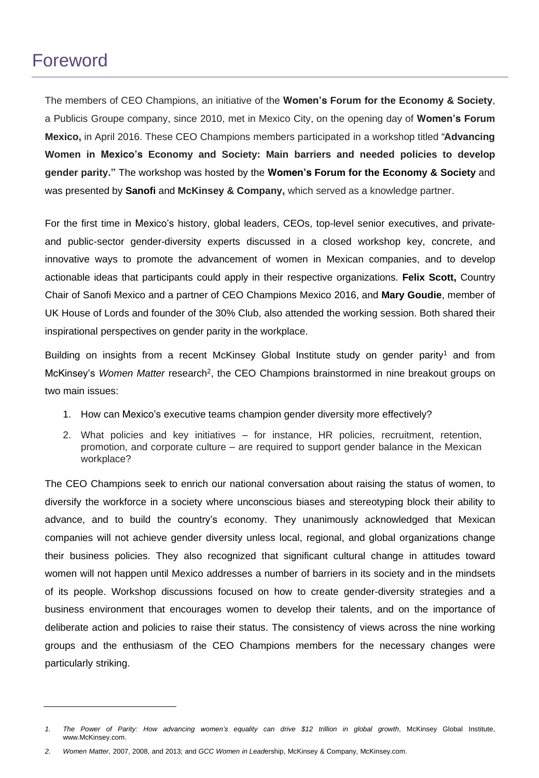# Foreword

The members of CEO Champions, an initiative of the **Women's Forum for the Economy & Society**, a Publicis Groupe company, since 2010, met in Mexico City, on the opening day of **Women's Forum Mexico,** in April 2016. These CEO Champions members participated in a workshop titled "**Advancing Women in Mexico's Economy and Society: Main barriers and needed policies to develop gender parity."** The workshop was hosted by the **Women's Forum for the Economy & Society** and was presented by **Sanofi** and **McKinsey & Company,** which served as a knowledge partner.

For the first time in Mexico's history, global leaders, CEOs, top-level senior executives, and privateand public-sector gender-diversity experts discussed in a closed workshop key, concrete, and innovative ways to promote the advancement of women in Mexican companies, and to develop actionable ideas that participants could apply in their respective organizations. **Felix Scott,** Country Chair of Sanofi Mexico and a partner of CEO Champions Mexico 2016, and **Mary Goudie**, member of UK House of Lords and founder of the 30% Club, also attended the working session. Both shared their inspirational perspectives on gender parity in the workplace.

Building on insights from a recent McKinsey Global Institute study on gender parity<sup>1</sup> and from McKinsey's Women Matter research<sup>2</sup>, the CEO Champions brainstormed in nine breakout groups on two main issues:

- 1. How can Mexico's executive teams champion gender diversity more effectively?
- 2. What policies and key initiatives for instance, HR policies, recruitment, retention, promotion, and corporate culture – are required to support gender balance in the Mexican workplace?

The CEO Champions seek to enrich our national conversation about raising the status of women, to diversify the workforce in a society where unconscious biases and stereotyping block their ability to advance, and to build the country's economy. They unanimously acknowledged that Mexican companies will not achieve gender diversity unless local, regional, and global organizations change their business policies. They also recognized that significant cultural change in attitudes toward women will not happen until Mexico addresses a number of barriers in its society and in the mindsets of its people. Workshop discussions focused on how to create gender-diversity strategies and a business environment that encourages women to develop their talents, and on the importance of deliberate action and policies to raise their status. The consistency of views across the nine working groups and the enthusiasm of the CEO Champions members for the necessary changes were particularly striking.

<sup>1.</sup> The Power of Parity: How advancing women's equality can drive \$12 trillion in global growth, McKinsey Global Institute, www.McKinsey.com.

*<sup>2.</sup> Women Matter*, 2007, 2008, and 2013; and *GCC Women in Lead*ership, McKinsey & Company, McKinsey.com.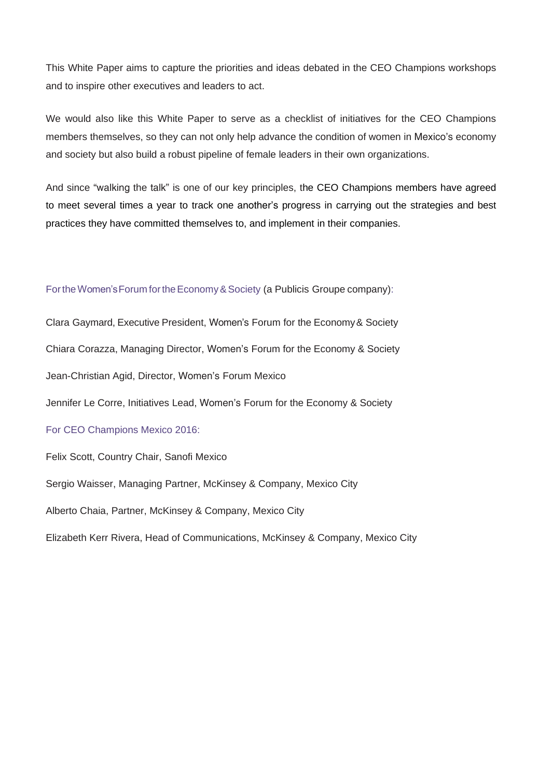This White Paper aims to capture the priorities and ideas debated in the CEO Champions workshops and to inspire other executives and leaders to act.

We would also like this White Paper to serve as a checklist of initiatives for the CEO Champions members themselves, so they can not only help advance the condition of women in Mexico's economy and society but also build a robust pipeline of female leaders in their own organizations.

And since "walking the talk" is one of our key principles, the CEO Champions members have agreed to meet several times a year to track one another's progress in carrying out the strategies and best practices they have committed themselves to, and implement in their companies.

## For the Women's Forum for the Economy & Society (a Publicis Groupe company):

Clara Gaymard, Executive President, Women's Forum for the Economy& Society Chiara Corazza, Managing Director, Women's Forum for the Economy & Society Jean-Christian Agid, Director, Women's Forum Mexico Jennifer Le Corre, Initiatives Lead, Women's Forum for the Economy & Society For CEO Champions Mexico 2016: Felix Scott, Country Chair, Sanofi Mexico Sergio Waisser, Managing Partner, McKinsey & Company, Mexico City

Alberto Chaia, Partner, McKinsey & Company, Mexico City

Elizabeth Kerr Rivera, Head of Communications, McKinsey & Company, Mexico City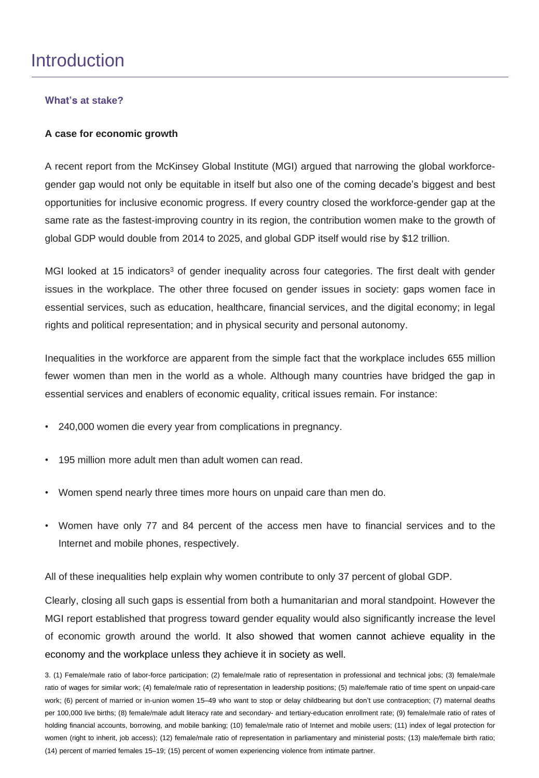# **Introduction**

# **What's at stake?**

# **A case for economic growth**

A recent report from the McKinsey Global Institute (MGI) argued that narrowing the global workforcegender gap would not only be equitable in itself but also one of the coming decade's biggest and best opportunities for inclusive economic progress. If every country closed the workforce-gender gap at the same rate as the fastest-improving country in its region, the contribution women make to the growth of global GDP would double from 2014 to 2025, and global GDP itself would rise by \$12 trillion.

MGI looked at 15 indicators<sup>3</sup> of gender inequality across four categories. The first dealt with gender issues in the workplace. The other three focused on gender issues in society: gaps women face in essential services, such as education, healthcare, financial services, and the digital economy; in legal rights and political representation; and in physical security and personal autonomy.

Inequalities in the workforce are apparent from the simple fact that the workplace includes 655 million fewer women than men in the world as a whole. Although many countries have bridged the gap in essential services and enablers of economic equality, critical issues remain. For instance:

- 240,000 women die every year from complications in pregnancy.
- 195 million more adult men than adult women can read.
- Women spend nearly three times more hours on unpaid care than men do.
- Women have only 77 and 84 percent of the access men have to financial services and to the Internet and mobile phones, respectively.

All of these inequalities help explain why women contribute to only 37 percent of global GDP.

Clearly, closing all such gaps is essential from both a humanitarian and moral standpoint. However the MGI report established that progress toward gender equality would also significantly increase the level of economic growth around the world. It also showed that women cannot achieve equality in the economy and the workplace unless they achieve it in society as well.

<sup>3.</sup> (1) Female/male ratio of labor-force participation; (2) female/male ratio of representation in professional and technical jobs; (3) female/male ratio of wages for similar work; (4) female/male ratio of representation in leadership positions; (5) male/female ratio of time spent on unpaid-care work; (6) percent of married or in-union women 15–49 who want to stop or delay childbearing but don't use contraception; (7) maternal deaths per 100,000 live births; (8) female/male adult literacy rate and secondary- and tertiary-education enrollment rate; (9) female/male ratio of rates of holding financial accounts, borrowing, and mobile banking; (10) female/male ratio of Internet and mobile users; (11) index of legal protection for women (right to inherit, job access); (12) female/male ratio of representation in parliamentary and ministerial posts; (13) male/female birth ratio; (14) percent of married females 15–19; (15) percent of women experiencing violence from intimate partner.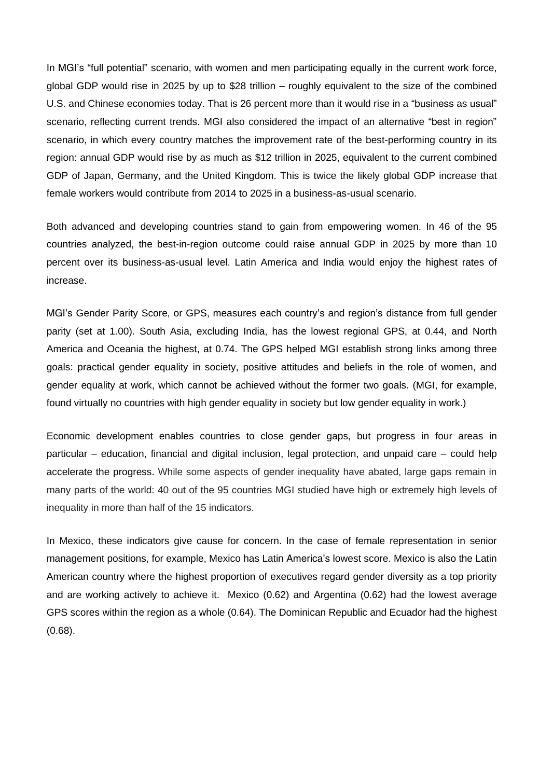In MGI's "full potential" scenario, with women and men participating equally in the current work force, global GDP would rise in 2025 by up to \$28 trillion – roughly equivalent to the size of the combined U.S. and Chinese economies today. That is 26 percent more than it would rise in a "business as usual" scenario, reflecting current trends. MGI also considered the impact of an alternative "best in region" scenario, in which every country matches the improvement rate of the best-performing country in its region: annual GDP would rise by as much as \$12 trillion in 2025, equivalent to the current combined GDP of Japan, Germany, and the United Kingdom. This is twice the likely global GDP increase that female workers would contribute from 2014 to 2025 in a business-as-usual scenario.

Both advanced and developing countries stand to gain from empowering women. In 46 of the 95 countries analyzed, the best-in-region outcome could raise annual GDP in 2025 by more than 10 percent over its business-as-usual level. Latin America and India would enjoy the highest rates of increase.

MGI's Gender Parity Score, or GPS, measures each country's and region's distance from full gender parity (set at 1.00). South Asia, excluding India, has the lowest regional GPS, at 0.44, and North America and Oceania the highest, at 0.74. The GPS helped MGI establish strong links among three goals: practical gender equality in society, positive attitudes and beliefs in the role of women, and gender equality at work, which cannot be achieved without the former two goals. (MGI, for example, found virtually no countries with high gender equality in society but low gender equality in work.)

Economic development enables countries to close gender gaps, but progress in four areas in particular – education, financial and digital inclusion, legal protection, and unpaid care – could help accelerate the progress. While some aspects of gender inequality have abated, large gaps remain in many parts of the world: 40 out of the 95 countries MGI studied have high or extremely high levels of inequality in more than half of the 15 indicators.

In Mexico, these indicators give cause for concern. In the case of female representation in senior management positions, for example, Mexico has Latin America's lowest score. Mexico is also the Latin American country where the highest proportion of executives regard gender diversity as a top priority and are working actively to achieve it. Mexico (0.62) and Argentina (0.62) had the lowest average GPS scores within the region as a whole (0.64). The Dominican Republic and Ecuador had the highest (0.68).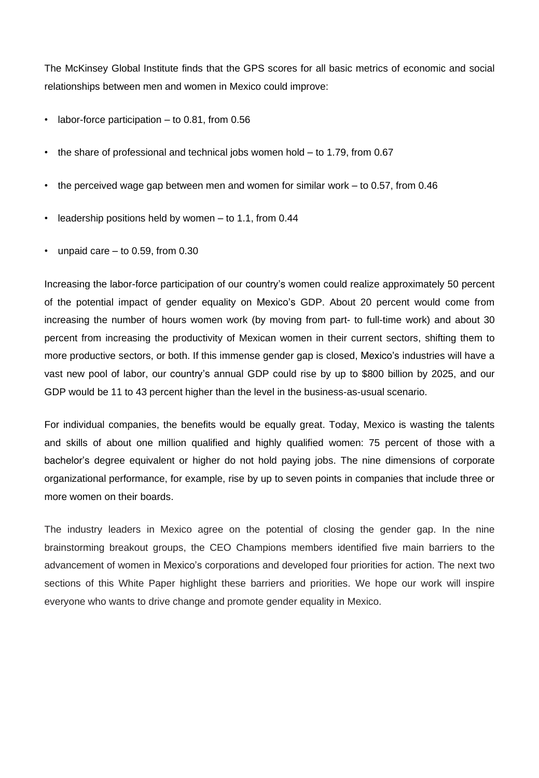The McKinsey Global Institute finds that the GPS scores for all basic metrics of economic and social relationships between men and women in Mexico could improve:

- labor-force participation to 0.81, from 0.56
- the share of professional and technical jobs women hold to 1.79, from 0.67
- the perceived wage gap between men and women for similar work to 0.57, from 0.46
- leadership positions held by women  $-$  to 1.1, from 0.44
- unpaid care  $-$  to 0.59, from 0.30

Increasing the labor-force participation of our country's women could realize approximately 50 percent of the potential impact of gender equality on Mexico's GDP. About 20 percent would come from increasing the number of hours women work (by moving from part- to full-time work) and about 30 percent from increasing the productivity of Mexican women in their current sectors, shifting them to more productive sectors, or both. If this immense gender gap is closed, Mexico's industries will have a vast new pool of labor, our country's annual GDP could rise by up to \$800 billion by 2025, and our GDP would be 11 to 43 percent higher than the level in the business-as-usual scenario.

For individual companies, the benefits would be equally great. Today, Mexico is wasting the talents and skills of about one million qualified and highly qualified women: 75 percent of those with a bachelor's degree equivalent or higher do not hold paying jobs. The nine dimensions of corporate organizational performance, for example, rise by up to seven points in companies that include three or more women on their boards.

The industry leaders in Mexico agree on the potential of closing the gender gap. In the nine brainstorming breakout groups, the CEO Champions members identified five main barriers to the advancement of women in Mexico's corporations and developed four priorities for action. The next two sections of this White Paper highlight these barriers and priorities. We hope our work will inspire everyone who wants to drive change and promote gender equality in Mexico.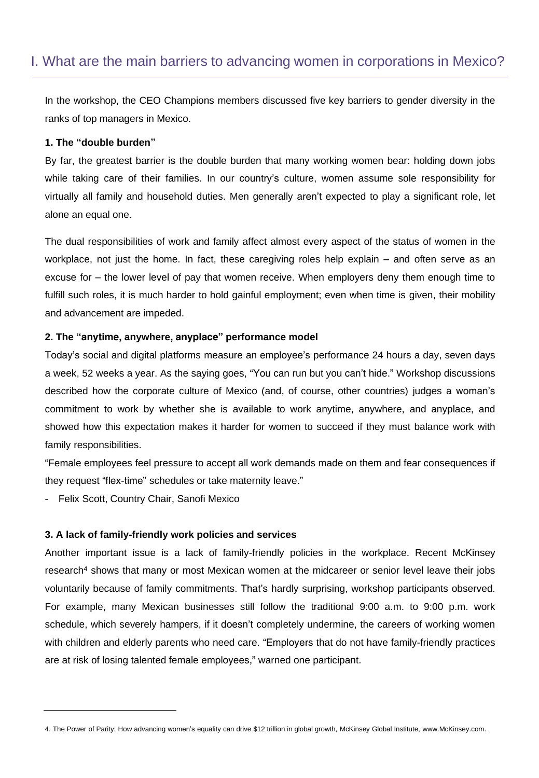# I. What are the main barriers to advancing women in corporations in Mexico?

In the workshop, the CEO Champions members discussed five key barriers to gender diversity in the ranks of top managers in Mexico.

## **1. The "double burden"**

By far, the greatest barrier is the double burden that many working women bear: holding down jobs while taking care of their families. In our country's culture, women assume sole responsibility for virtually all family and household duties. Men generally aren't expected to play a significant role, let alone an equal one.

The dual responsibilities of work and family affect almost every aspect of the status of women in the workplace, not just the home. In fact, these caregiving roles help explain – and often serve as an excuse for – the lower level of pay that women receive. When employers deny them enough time to fulfill such roles, it is much harder to hold gainful employment; even when time is given, their mobility and advancement are impeded.

### **2. The "anytime, anywhere, anyplace" performance model**

Today's social and digital platforms measure an employee's performance 24 hours a day, seven days a week, 52 weeks a year. As the saying goes, "You can run but you can't hide." Workshop discussions described how the corporate culture of Mexico (and, of course, other countries) judges a woman's commitment to work by whether she is available to work anytime, anywhere, and anyplace, and showed how this expectation makes it harder for women to succeed if they must balance work with family responsibilities.

"Female employees feel pressure to accept all work demands made on them and fear consequences if they request "flex-time" schedules or take maternity leave."

- Felix Scott, Country Chair, Sanofi Mexico

## **3. A lack of family-friendly work policies and services**

Another important issue is a lack of family-friendly policies in the workplace. Recent McKinsey research<sup>4</sup> shows that many or most Mexican women at the midcareer or senior level leave their jobs voluntarily because of family commitments. That's hardly surprising, workshop participants observed. For example, many Mexican businesses still follow the traditional 9:00 a.m. to 9:00 p.m. work schedule, which severely hampers, if it doesn't completely undermine, the careers of working women with children and elderly parents who need care. "Employers that do not have family-friendly practices are at risk of losing talented female employees," warned one participant.

<sup>4.</sup> The Power of Parity: How advancing women's equality can drive \$12 trillion in global growth, McKinsey Global Institute, www.McKinsey.com.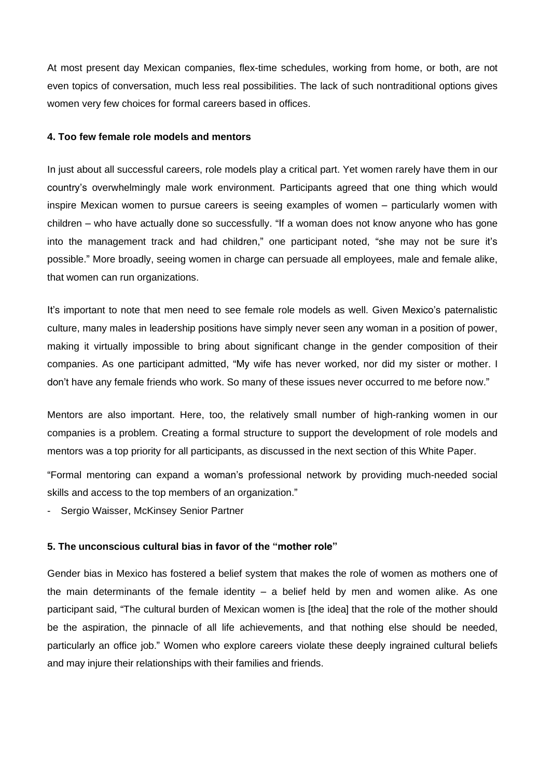At most present day Mexican companies, flex-time schedules, working from home, or both, are not even topics of conversation, much less real possibilities. The lack of such nontraditional options gives women very few choices for formal careers based in offices.

## **4. Too few female role models and mentors**

In just about all successful careers, role models play a critical part. Yet women rarely have them in our country's overwhelmingly male work environment. Participants agreed that one thing which would inspire Mexican women to pursue careers is seeing examples of women – particularly women with children – who have actually done so successfully. "If a woman does not know anyone who has gone into the management track and had children," one participant noted, "she may not be sure it's possible." More broadly, seeing women in charge can persuade all employees, male and female alike, that women can run organizations.

It's important to note that men need to see female role models as well. Given Mexico's paternalistic culture, many males in leadership positions have simply never seen any woman in a position of power, making it virtually impossible to bring about significant change in the gender composition of their companies. As one participant admitted, "My wife has never worked, nor did my sister or mother. I don't have any female friends who work. So many of these issues never occurred to me before now."

Mentors are also important. Here, too, the relatively small number of high-ranking women in our companies is a problem. Creating a formal structure to support the development of role models and mentors was a top priority for all participants, as discussed in the next section of this White Paper.

"Formal mentoring can expand a woman's professional network by providing much-needed social skills and access to the top members of an organization."

Sergio Waisser, McKinsey Senior Partner

# **5. The unconscious cultural bias in favor of the "mother role"**

Gender bias in Mexico has fostered a belief system that makes the role of women as mothers one of the main determinants of the female identity  $-$  a belief held by men and women alike. As one participant said, "The cultural burden of Mexican women is [the idea] that the role of the mother should be the aspiration, the pinnacle of all life achievements, and that nothing else should be needed, particularly an office job." Women who explore careers violate these deeply ingrained cultural beliefs and may injure their relationships with their families and friends.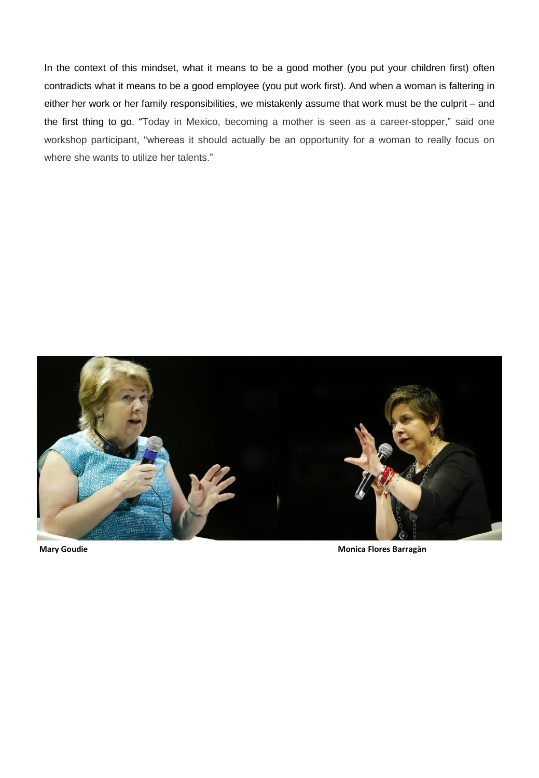In the context of this mindset, what it means to be a good mother (you put your children first) often contradicts what it means to be a good employee (you put work first). And when a woman is faltering in either her work or her family responsibilities, we mistakenly assume that work must be the culprit – and the first thing to go. "Today in Mexico, becoming a mother is seen as a career-stopper," said one workshop participant, "whereas it should actually be an opportunity for a woman to really focus on where she wants to utilize her talents."



**Mary Goudie Monica Flores Barragàn**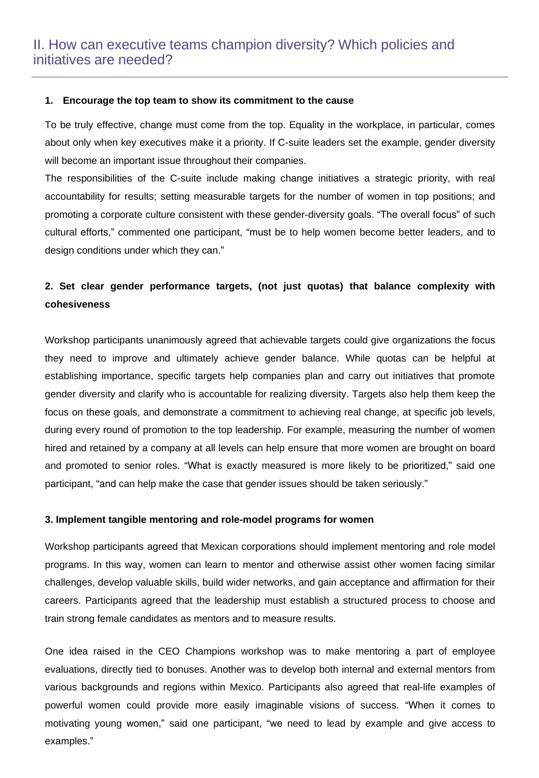### **1. Encourage the top team to show its commitment to the cause**

To be truly effective, change must come from the top. Equality in the workplace, in particular, comes about only when key executives make it a priority. If C-suite leaders set the example, gender diversity will become an important issue throughout their companies.

The responsibilities of the C-suite include making change initiatives a strategic priority, with real accountability for results; setting measurable targets for the number of women in top positions; and promoting a corporate culture consistent with these gender-diversity goals. "The overall focus" of such cultural efforts," commented one participant, "must be to help women become better leaders, and to design conditions under which they can."

# **2. Set clear gender performance targets, (not just quotas) that balance complexity with cohesiveness**

Workshop participants unanimously agreed that achievable targets could give organizations the focus they need to improve and ultimately achieve gender balance. While quotas can be helpful at establishing importance, specific targets help companies plan and carry out initiatives that promote gender diversity and clarify who is accountable for realizing diversity. Targets also help them keep the focus on these goals, and demonstrate a commitment to achieving real change, at specific job levels, during every round of promotion to the top leadership. For example, measuring the number of women hired and retained by a company at all levels can help ensure that more women are brought on board and promoted to senior roles. "What is exactly measured is more likely to be prioritized," said one participant, "and can help make the case that gender issues should be taken seriously."

### **3. Implement tangible mentoring and role-model programs for women**

Workshop participants agreed that Mexican corporations should implement mentoring and role model programs. In this way, women can learn to mentor and otherwise assist other women facing similar challenges, develop valuable skills, build wider networks, and gain acceptance and affirmation for their careers. Participants agreed that the leadership must establish a structured process to choose and train strong female candidates as mentors and to measure results.

One idea raised in the CEO Champions workshop was to make mentoring a part of employee evaluations, directly tied to bonuses. Another was to develop both internal and external mentors from various backgrounds and regions within Mexico. Participants also agreed that real-life examples of powerful women could provide more easily imaginable visions of success. "When it comes to motivating young women," said one participant, "we need to lead by example and give access to examples."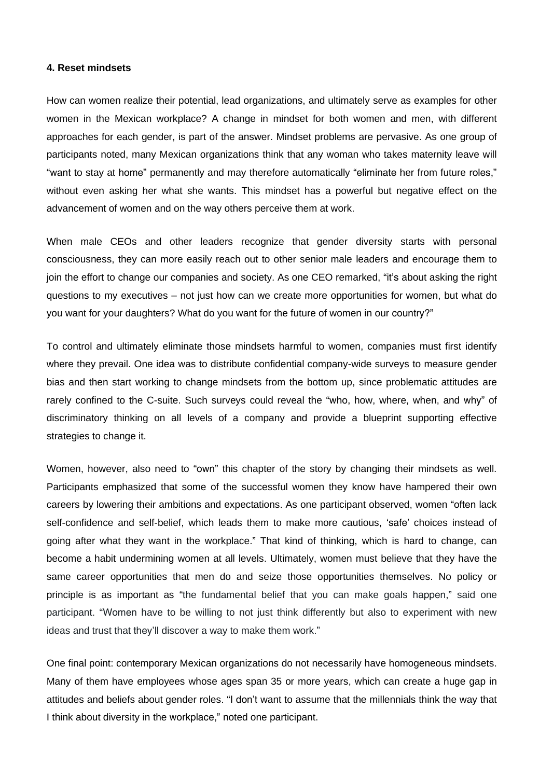#### **4. Reset mindsets**

How can women realize their potential, lead organizations, and ultimately serve as examples for other women in the Mexican workplace? A change in mindset for both women and men, with different approaches for each gender, is part of the answer. Mindset problems are pervasive. As one group of participants noted, many Mexican organizations think that any woman who takes maternity leave will "want to stay at home" permanently and may therefore automatically "eliminate her from future roles," without even asking her what she wants. This mindset has a powerful but negative effect on the advancement of women and on the way others perceive them at work.

When male CEOs and other leaders recognize that gender diversity starts with personal consciousness, they can more easily reach out to other senior male leaders and encourage them to join the effort to change our companies and society. As one CEO remarked, "it's about asking the right questions to my executives – not just how can we create more opportunities for women, but what do you want for your daughters? What do you want for the future of women in our country?"

To control and ultimately eliminate those mindsets harmful to women, companies must first identify where they prevail. One idea was to distribute confidential company-wide surveys to measure gender bias and then start working to change mindsets from the bottom up, since problematic attitudes are rarely confined to the C-suite. Such surveys could reveal the "who, how, where, when, and why" of discriminatory thinking on all levels of a company and provide a blueprint supporting effective strategies to change it.

Women, however, also need to "own" this chapter of the story by changing their mindsets as well. Participants emphasized that some of the successful women they know have hampered their own careers by lowering their ambitions and expectations. As one participant observed, women "often lack self-confidence and self-belief, which leads them to make more cautious, 'safe' choices instead of going after what they want in the workplace." That kind of thinking, which is hard to change, can become a habit undermining women at all levels. Ultimately, women must believe that they have the same career opportunities that men do and seize those opportunities themselves. No policy or principle is as important as "the fundamental belief that you can make goals happen," said one participant. "Women have to be willing to not just think differently but also to experiment with new ideas and trust that they'll discover a way to make them work."

One final point: contemporary Mexican organizations do not necessarily have homogeneous mindsets. Many of them have employees whose ages span 35 or more years, which can create a huge gap in attitudes and beliefs about gender roles. "I don't want to assume that the millennials think the way that I think about diversity in the workplace," noted one participant.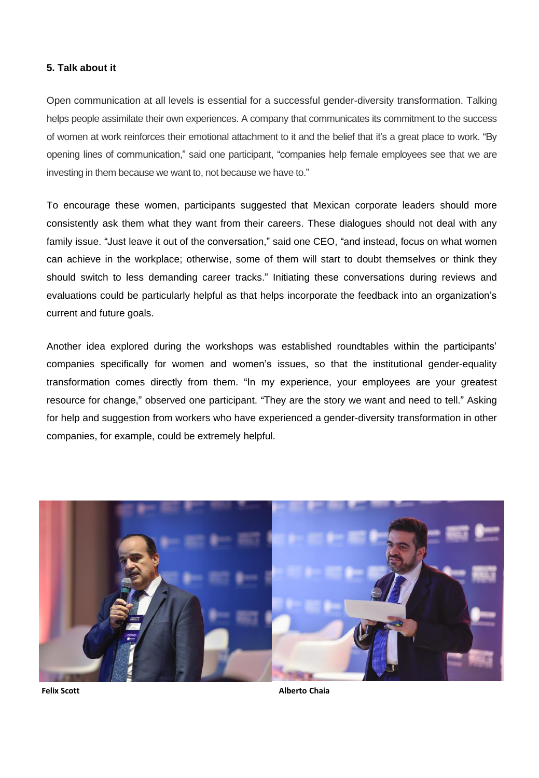### **5. Talk about it**

Open communication at all levels is essential for a successful gender-diversity transformation. Talking helps people assimilate their own experiences. A company that communicates its commitment to the success of women at work reinforces their emotional attachment to it and the belief that it's a great place to work. "By opening lines of communication," said one participant, "companies help female employees see that we are investing in them because we want to, not because we have to."

To encourage these women, participants suggested that Mexican corporate leaders should more consistently ask them what they want from their careers. These dialogues should not deal with any family issue. "Just leave it out of the conversation," said one CEO, "and instead, focus on what women can achieve in the workplace; otherwise, some of them will start to doubt themselves or think they should switch to less demanding career tracks." Initiating these conversations during reviews and evaluations could be particularly helpful as that helps incorporate the feedback into an organization's current and future goals.

Another idea explored during the workshops was established roundtables within the participants' companies specifically for women and women's issues, so that the institutional gender-equality transformation comes directly from them. "In my experience, your employees are your greatest resource for change," observed one participant. "They are the story we want and need to tell." Asking for help and suggestion from workers who have experienced a gender-diversity transformation in other companies, for example, could be extremely helpful.

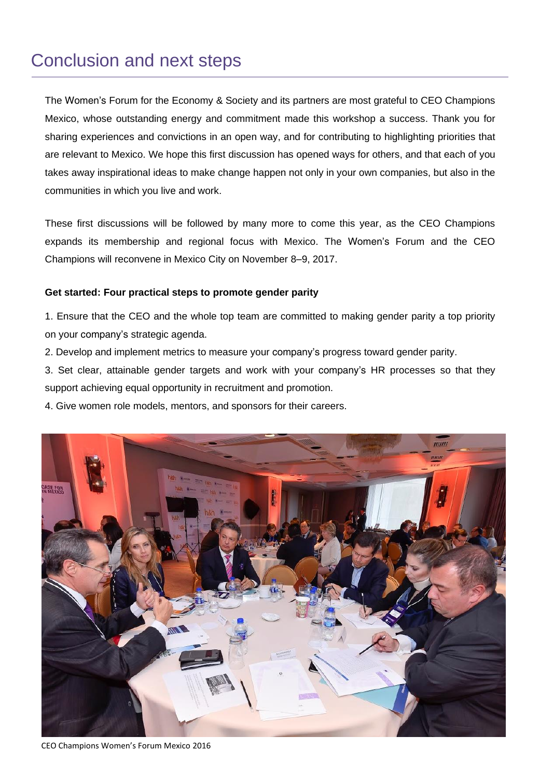# Conclusion and next steps

The Women's Forum for the Economy & Society and its partners are most grateful to CEO Champions Mexico, whose outstanding energy and commitment made this workshop a success. Thank you for sharing experiences and convictions in an open way, and for contributing to highlighting priorities that are relevant to Mexico. We hope this first discussion has opened ways for others, and that each of you takes away inspirational ideas to make change happen not only in your own companies, but also in the communities in which you live and work.

These first discussions will be followed by many more to come this year, as the CEO Champions expands its membership and regional focus with Mexico. The Women's Forum and the CEO Champions will reconvene in Mexico City on November 8–9, 2017.

## **Get started: Four practical steps to promote gender parity**

1. Ensure that the CEO and the whole top team are committed to making gender parity a top priority on your company's strategic agenda.

- 2. Develop and implement metrics to measure your company's progress toward gender parity.
- 3. Set clear, attainable gender targets and work with your company's HR processes so that they support achieving equal opportunity in recruitment and promotion.
- 4. Give women role models, mentors, and sponsors for their careers.



CEO Champions Women's Forum Mexico 2016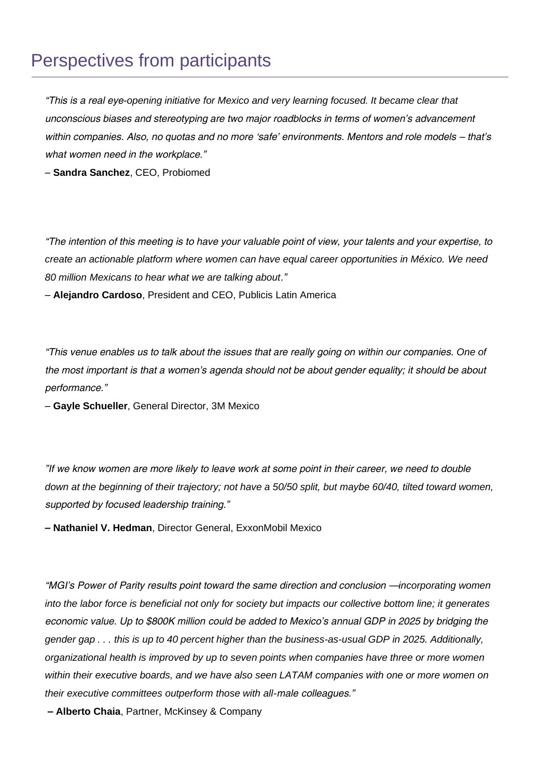# Perspectives from participants

*"This is a real eye-opening initiative for Mexico and very learning focused. It became clear that unconscious biases and stereotyping are two major roadblocks in terms of women's advancement within companies. Also, no quotas and no more 'safe' environments. Mentors and role models – that's what women need in the workplace."*

– **Sandra Sanchez**, CEO, Probiomed

*"The intention of this meeting is to have your valuable point of view, your talents and your expertise, to create an actionable platform where women can have equal career opportunities in México. We need 80 million Mexicans to hear what we are talking about."*

– **Alejandro Cardoso**, President and CEO, Publicis Latin America

*"This venue enables us to talk about the issues that are really going on within our companies. One of the most important is that a women's agenda should not be about gender equality; it should be about performance."*

– **Gayle Schueller**, General Director, 3M Mexico

*"If we know women are more likely to leave work at some point in their career, we need to double down at the beginning of their trajectory; not have a 50/50 split, but maybe 60/40, tilted toward women, supported by focused leadership training."*

**– Nathaniel V. Hedman**, Director General, ExxonMobil Mexico

*"MGI's Power of Parity results point toward the same direction and conclusion —incorporating women into the labor force is beneficial not only for society but impacts our collective bottom line; it generates economic value. Up to \$800K million could be added to Mexico's annual GDP in 2025 by bridging the gender gap . . . this is up to 40 percent higher than the business-as-usual GDP in 2025. Additionally, organizational health is improved by up to seven points when companies have three or more women within their executive boards, and we have also seen LATAM companies with one or more women on their executive committees outperform those with all-male colleagues."*

**– Alberto Chaia**, Partner, McKinsey & Company